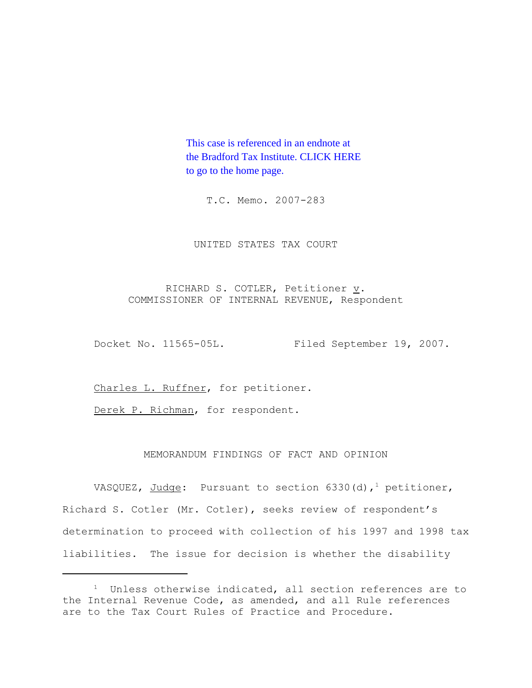This case is referenced in an endnote at [the Bradford Tax Institute. CLICK HERE](http://www.bradfordtaxinstitute.com/)  to go to the home page.

T.C. Memo. 2007-283

## UNITED STATES TAX COURT

RICHARD S. COTLER, Petitioner  $\underline{v}$ . COMMISSIONER OF INTERNAL REVENUE, Respondent

Docket No. 11565-05L. Filed September 19, 2007.

Charles L. Ruffner, for petitioner.

Derek P. Richman, for respondent.

# MEMORANDUM FINDINGS OF FACT AND OPINION

VASQUEZ, Judge: Pursuant to section 6330(d),<sup>1</sup> petitioner, Richard S. Cotler (Mr. Cotler), seeks review of respondent's determination to proceed with collection of his 1997 and 1998 tax liabilities. The issue for decision is whether the disability

<sup>&</sup>lt;sup>1</sup> Unless otherwise indicated, all section references are to the Internal Revenue Code, as amended, and all Rule references are to the Tax Court Rules of Practice and Procedure.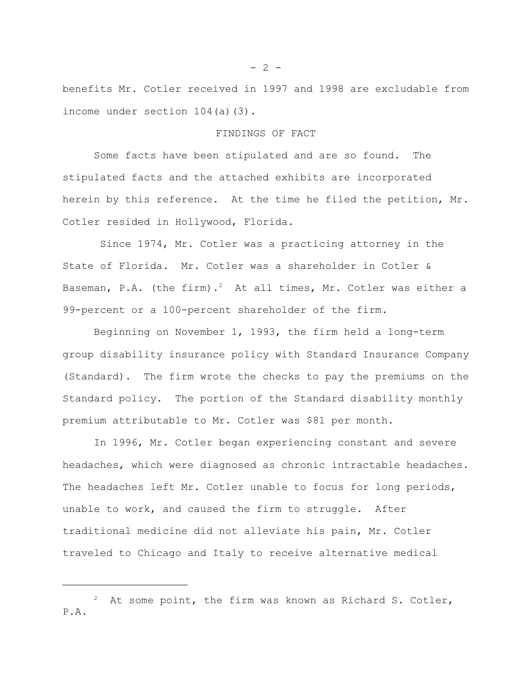benefits Mr. Cotler received in 1997 and 1998 are excludable from income under section 104(a)(3).

### FINDINGS OF FACT

Some facts have been stipulated and are so found. The stipulated facts and the attached exhibits are incorporated herein by this reference. At the time he filed the petition, Mr. Cotler resided in Hollywood, Florida.

 Since 1974, Mr. Cotler was a practicing attorney in the State of Florida. Mr. Cotler was a shareholder in Cotler & Baseman, P.A. (the firm).<sup>2</sup> At all times, Mr. Cotler was either a 99-percent or a 100-percent shareholder of the firm.

Beginning on November 1, 1993, the firm held a long-term group disability insurance policy with Standard Insurance Company (Standard). The firm wrote the checks to pay the premiums on the Standard policy. The portion of the Standard disability monthly premium attributable to Mr. Cotler was \$81 per month.

In 1996, Mr. Cotler began experiencing constant and severe headaches, which were diagnosed as chronic intractable headaches. The headaches left Mr. Cotler unable to focus for long periods, unable to work, and caused the firm to struggle. After traditional medicine did not alleviate his pain, Mr. Cotler traveled to Chicago and Italy to receive alternative medical

 $- 2 -$ 

<sup>&</sup>lt;sup>2</sup> At some point, the firm was known as Richard S. Cotler, P.A.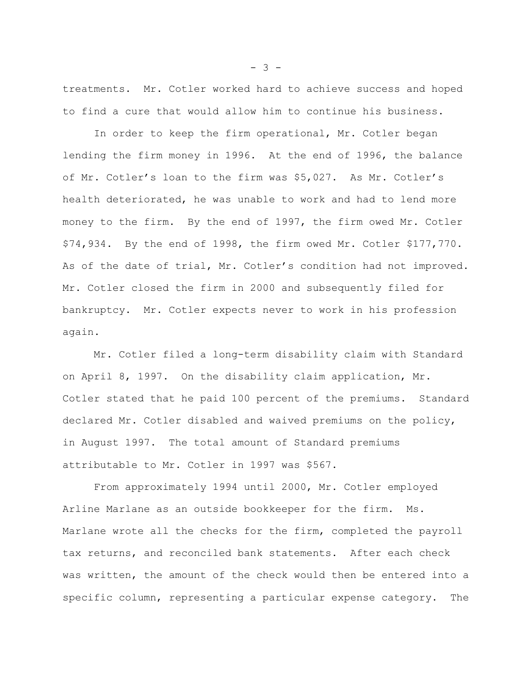treatments. Mr. Cotler worked hard to achieve success and hoped to find a cure that would allow him to continue his business.

In order to keep the firm operational, Mr. Cotler began lending the firm money in 1996. At the end of 1996, the balance of Mr. Cotler's loan to the firm was \$5,027. As Mr. Cotler's health deteriorated, he was unable to work and had to lend more money to the firm. By the end of 1997, the firm owed Mr. Cotler \$74,934. By the end of 1998, the firm owed Mr. Cotler \$177,770. As of the date of trial, Mr. Cotler's condition had not improved. Mr. Cotler closed the firm in 2000 and subsequently filed for bankruptcy. Mr. Cotler expects never to work in his profession again.

Mr. Cotler filed a long-term disability claim with Standard on April 8, 1997. On the disability claim application, Mr. Cotler stated that he paid 100 percent of the premiums. Standard declared Mr. Cotler disabled and waived premiums on the policy, in August 1997. The total amount of Standard premiums attributable to Mr. Cotler in 1997 was \$567.

From approximately 1994 until 2000, Mr. Cotler employed Arline Marlane as an outside bookkeeper for the firm. Ms. Marlane wrote all the checks for the firm, completed the payroll tax returns, and reconciled bank statements. After each check was written, the amount of the check would then be entered into a specific column, representing a particular expense category. The

 $- 3 -$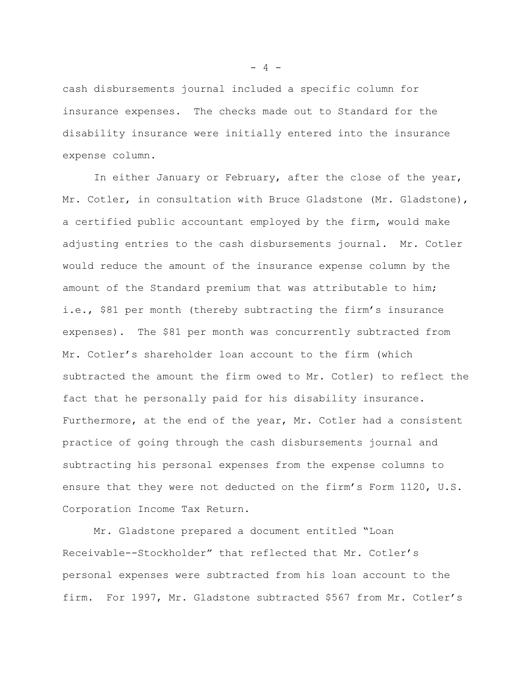cash disbursements journal included a specific column for insurance expenses. The checks made out to Standard for the disability insurance were initially entered into the insurance expense column.

In either January or February, after the close of the year, Mr. Cotler, in consultation with Bruce Gladstone (Mr. Gladstone), a certified public accountant employed by the firm, would make adjusting entries to the cash disbursements journal. Mr. Cotler would reduce the amount of the insurance expense column by the amount of the Standard premium that was attributable to him; i.e., \$81 per month (thereby subtracting the firm's insurance expenses). The \$81 per month was concurrently subtracted from Mr. Cotler's shareholder loan account to the firm (which subtracted the amount the firm owed to Mr. Cotler) to reflect the fact that he personally paid for his disability insurance. Furthermore, at the end of the year, Mr. Cotler had a consistent practice of going through the cash disbursements journal and subtracting his personal expenses from the expense columns to ensure that they were not deducted on the firm's Form 1120, U.S. Corporation Income Tax Return.

Mr. Gladstone prepared a document entitled "Loan Receivable--Stockholder" that reflected that Mr. Cotler's personal expenses were subtracted from his loan account to the firm. For 1997, Mr. Gladstone subtracted \$567 from Mr. Cotler's

 $- 4 -$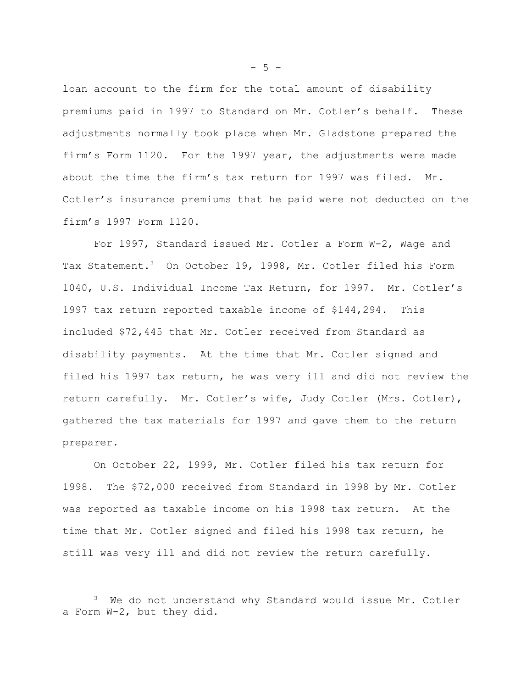loan account to the firm for the total amount of disability premiums paid in 1997 to Standard on Mr. Cotler's behalf. These adjustments normally took place when Mr. Gladstone prepared the firm's Form 1120. For the 1997 year, the adjustments were made about the time the firm's tax return for 1997 was filed. Mr. Cotler's insurance premiums that he paid were not deducted on the firm's 1997 Form 1120.

For 1997, Standard issued Mr. Cotler a Form W-2, Wage and Tax Statement.<sup>3</sup> On October 19, 1998, Mr. Cotler filed his Form 1040, U.S. Individual Income Tax Return, for 1997. Mr. Cotler's 1997 tax return reported taxable income of \$144,294. This included \$72,445 that Mr. Cotler received from Standard as disability payments. At the time that Mr. Cotler signed and filed his 1997 tax return, he was very ill and did not review the return carefully. Mr. Cotler's wife, Judy Cotler (Mrs. Cotler), gathered the tax materials for 1997 and gave them to the return preparer.

On October 22, 1999, Mr. Cotler filed his tax return for 1998. The \$72,000 received from Standard in 1998 by Mr. Cotler was reported as taxable income on his 1998 tax return. At the time that Mr. Cotler signed and filed his 1998 tax return, he still was very ill and did not review the return carefully.

 $-5 -$ 

<sup>&</sup>lt;sup>3</sup> We do not understand why Standard would issue Mr. Cotler a Form W-2, but they did.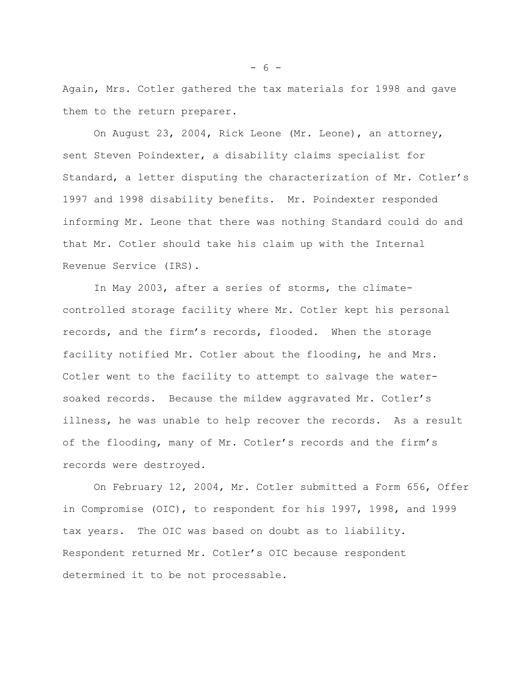Again, Mrs. Cotler gathered the tax materials for 1998 and gave them to the return preparer.

On August 23, 2004, Rick Leone (Mr. Leone), an attorney, sent Steven Poindexter, a disability claims specialist for Standard, a letter disputing the characterization of Mr. Cotler's 1997 and 1998 disability benefits. Mr. Poindexter responded informing Mr. Leone that there was nothing Standard could do and that Mr. Cotler should take his claim up with the Internal Revenue Service (IRS).

In May 2003, after a series of storms, the climatecontrolled storage facility where Mr. Cotler kept his personal records, and the firm's records, flooded. When the storage facility notified Mr. Cotler about the flooding, he and Mrs. Cotler went to the facility to attempt to salvage the watersoaked records. Because the mildew aggravated Mr. Cotler's illness, he was unable to help recover the records. As a result of the flooding, many of Mr. Cotler's records and the firm's records were destroyed.

On February 12, 2004, Mr. Cotler submitted a Form 656, Offer in Compromise (OIC), to respondent for his 1997, 1998, and 1999 tax years. The OIC was based on doubt as to liability. Respondent returned Mr. Cotler's OIC because respondent determined it to be not processable.

- 6 -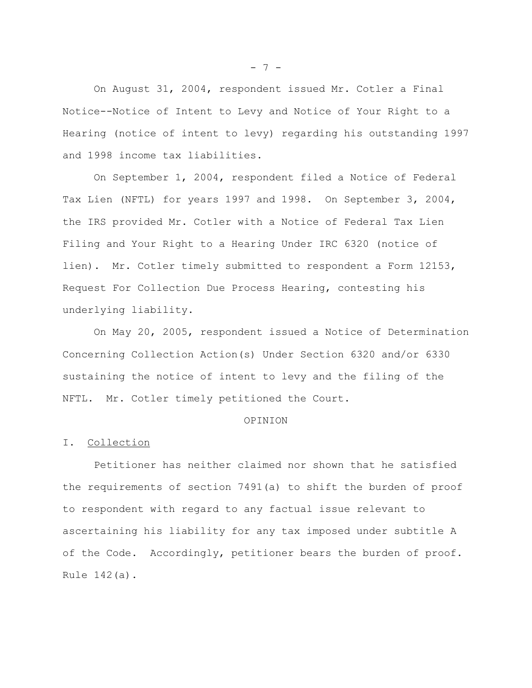On August 31, 2004, respondent issued Mr. Cotler a Final Notice--Notice of Intent to Levy and Notice of Your Right to a Hearing (notice of intent to levy) regarding his outstanding 1997 and 1998 income tax liabilities.

On September 1, 2004, respondent filed a Notice of Federal Tax Lien (NFTL) for years 1997 and 1998. On September 3, 2004, the IRS provided Mr. Cotler with a Notice of Federal Tax Lien Filing and Your Right to a Hearing Under IRC 6320 (notice of lien). Mr. Cotler timely submitted to respondent a Form 12153, Request For Collection Due Process Hearing, contesting his underlying liability.

On May 20, 2005, respondent issued a Notice of Determination Concerning Collection Action(s) Under Section 6320 and/or 6330 sustaining the notice of intent to levy and the filing of the NFTL. Mr. Cotler timely petitioned the Court.

# OPINION

#### I. Collection

Petitioner has neither claimed nor shown that he satisfied the requirements of section 7491(a) to shift the burden of proof to respondent with regard to any factual issue relevant to ascertaining his liability for any tax imposed under subtitle A of the Code. Accordingly, petitioner bears the burden of proof. Rule 142(a).

 $- 7 -$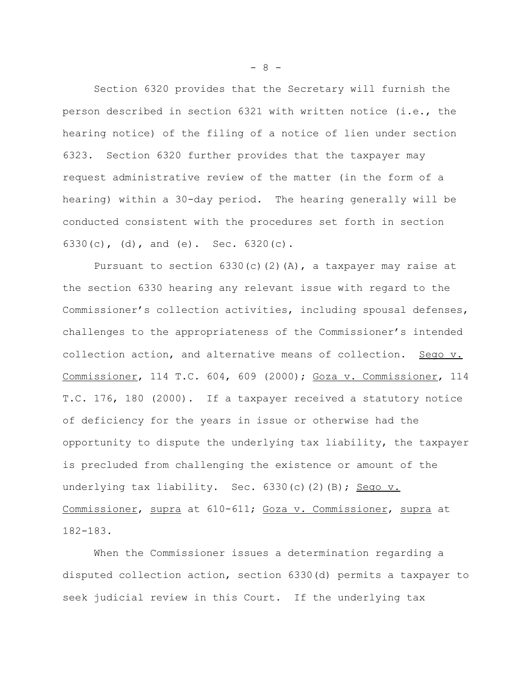Section 6320 provides that the Secretary will furnish the person described in section 6321 with written notice (i.e., the hearing notice) of the filing of a notice of lien under section 6323. Section 6320 further provides that the taxpayer may request administrative review of the matter (in the form of a hearing) within a 30-day period. The hearing generally will be conducted consistent with the procedures set forth in section 6330(c), (d), and (e). Sec. 6320(c).

Pursuant to section  $6330(c)(2)(A)$ , a taxpayer may raise at the section 6330 hearing any relevant issue with regard to the Commissioner's collection activities, including spousal defenses, challenges to the appropriateness of the Commissioner's intended collection action, and alternative means of collection. Sego v. Commissioner, 114 T.C. 604, 609 (2000); Goza v. Commissioner, 114 T.C. 176, 180 (2000). If a taxpayer received a statutory notice of deficiency for the years in issue or otherwise had the opportunity to dispute the underlying tax liability, the taxpayer is precluded from challenging the existence or amount of the underlying tax liability. Sec. 6330(c)(2)(B); Sego v. Commissioner, supra at 610-611; Goza v. Commissioner, supra at 182-183.

When the Commissioner issues a determination regarding a disputed collection action, section 6330(d) permits a taxpayer to seek judicial review in this Court. If the underlying tax

- 8 -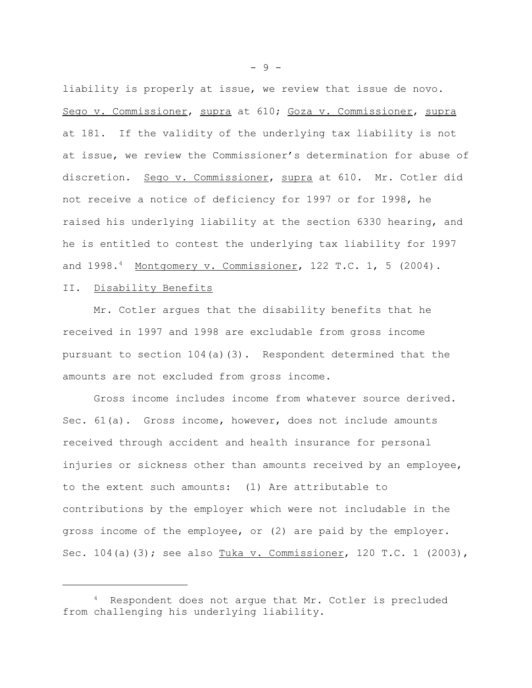liability is properly at issue, we review that issue de novo. Sego v. Commissioner, supra at 610; Goza v. Commissioner, supra at 181. If the validity of the underlying tax liability is not at issue, we review the Commissioner's determination for abuse of discretion. Sego v. Commissioner, supra at 610. Mr. Cotler did not receive a notice of deficiency for 1997 or for 1998, he raised his underlying liability at the section 6330 hearing, and he is entitled to contest the underlying tax liability for 1997 and  $1998.^4$  Montgomery v. Commissioner, 122 T.C. 1, 5 (2004).

# II. Disability Benefits

Mr. Cotler argues that the disability benefits that he received in 1997 and 1998 are excludable from gross income pursuant to section  $104(a)(3)$ . Respondent determined that the amounts are not excluded from gross income.

Gross income includes income from whatever source derived. Sec. 61(a). Gross income, however, does not include amounts received through accident and health insurance for personal injuries or sickness other than amounts received by an employee, to the extent such amounts: (1) Are attributable to contributions by the employer which were not includable in the gross income of the employee, or (2) are paid by the employer. Sec. 104(a)(3); see also Tuka v. Commissioner, 120 T.C. 1 (2003),

- 9 -

<sup>&</sup>lt;sup>4</sup> Respondent does not arque that Mr. Cotler is precluded from challenging his underlying liability.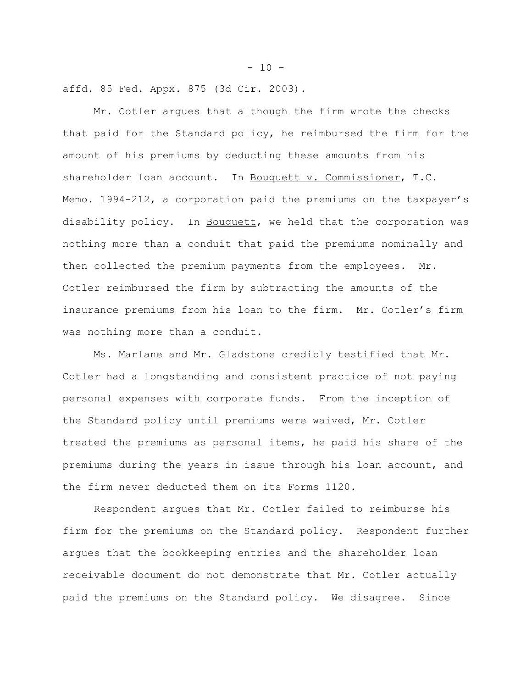affd. 85 Fed. Appx. 875 (3d Cir. 2003).

Mr. Cotler argues that although the firm wrote the checks that paid for the Standard policy, he reimbursed the firm for the amount of his premiums by deducting these amounts from his shareholder loan account. In Bouquett v. Commissioner, T.C. Memo. 1994-212, a corporation paid the premiums on the taxpayer's disability policy. In Bouquett, we held that the corporation was nothing more than a conduit that paid the premiums nominally and then collected the premium payments from the employees. Mr. Cotler reimbursed the firm by subtracting the amounts of the insurance premiums from his loan to the firm. Mr. Cotler's firm was nothing more than a conduit.

Ms. Marlane and Mr. Gladstone credibly testified that Mr. Cotler had a longstanding and consistent practice of not paying personal expenses with corporate funds. From the inception of the Standard policy until premiums were waived, Mr. Cotler treated the premiums as personal items, he paid his share of the premiums during the years in issue through his loan account, and the firm never deducted them on its Forms 1120.

Respondent argues that Mr. Cotler failed to reimburse his firm for the premiums on the Standard policy. Respondent further argues that the bookkeeping entries and the shareholder loan receivable document do not demonstrate that Mr. Cotler actually paid the premiums on the Standard policy. We disagree. Since

 $-10 -$